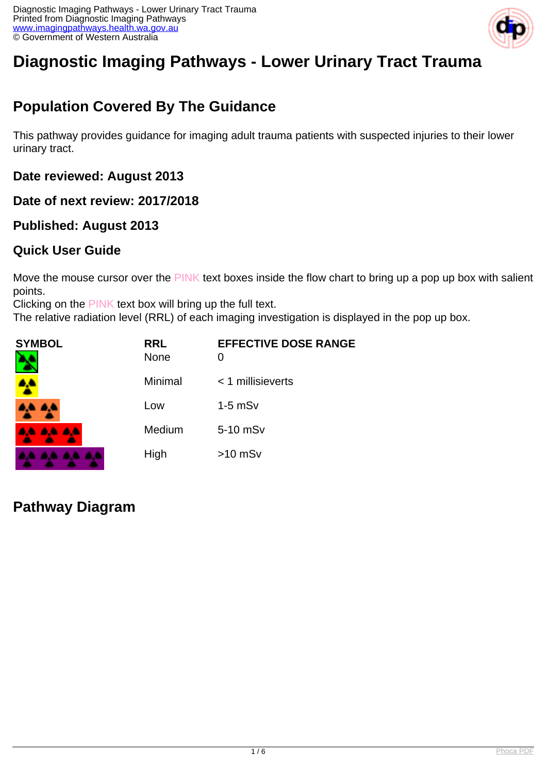

# **Diagnostic Imaging Pathways - Lower Urinary Tract Trauma**

### **Population Covered By The Guidance**

This pathway provides guidance for imaging adult trauma patients with suspected injuries to their lower urinary tract.

**Date reviewed: August 2013**

**Date of next review: 2017/2018**

#### **Published: August 2013**

#### **Quick User Guide**

Move the mouse cursor over the PINK text boxes inside the flow chart to bring up a pop up box with salient points.

Clicking on the PINK text box will bring up the full text.

The relative radiation level (RRL) of each imaging investigation is displayed in the pop up box.

| SYMBOL   | <b>RRL</b><br><b>None</b> | <b>EFFECTIVE DOSE RANGE</b> |
|----------|---------------------------|-----------------------------|
| 4        | Minimal                   | $<$ 1 millisieverts         |
| 4,4 4,4  | Low                       | $1-5$ mSv                   |
| AA AA AA | Medium                    | 5-10 mSv                    |
|          | High                      | $>10$ mSv                   |

**Pathway Diagram**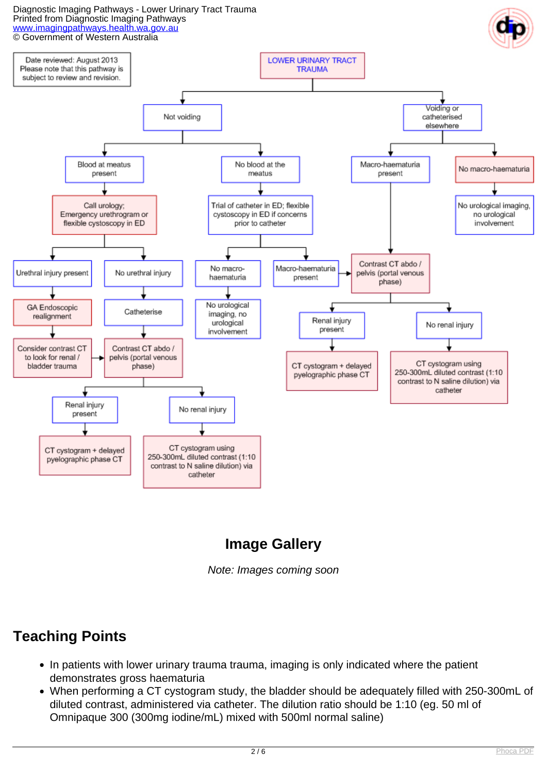#### Diagnostic Imaging Pathways - Lower Urinary Tract Trauma Printed from Diagnostic Imaging Pathways [www.imagingpathways.health.wa.gov.au](http://www.imagingpathways.health.wa.gov.au/) © Government of Western Australia





## **Image Gallery**

Note: Images coming soon

### **Teaching Points**

- In patients with lower urinary trauma trauma, imaging is only indicated where the patient demonstrates gross haematuria
- When performing a CT cystogram study, the bladder should be adequately filled with 250-300mL of diluted contrast, administered via catheter. The dilution ratio should be 1:10 (eg. 50 ml of Omnipaque 300 (300mg iodine/mL) mixed with 500ml normal saline)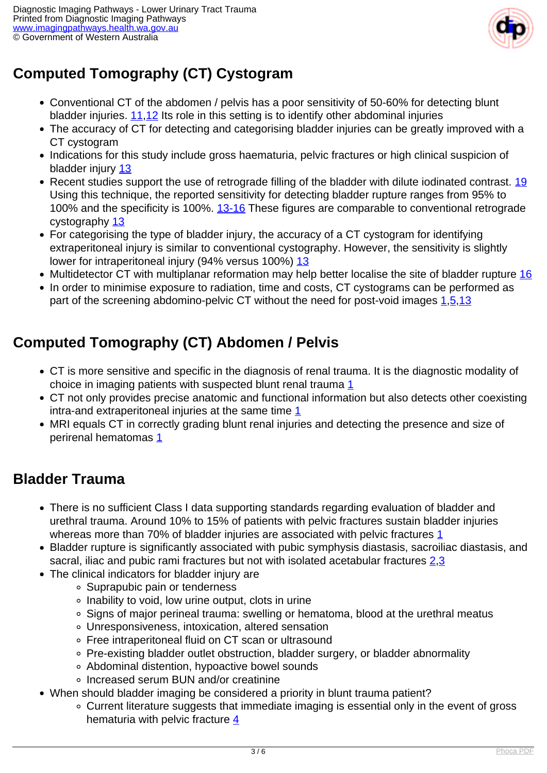

## **Computed Tomography (CT) Cystogram**

- Conventional CT of the abdomen / pelvis has a poor sensitivity of 50-60% for detecting blunt bladder injuries. [11,](index.php?option=com_content&view=article&id=117&tab=references#11)[12](index.php?option=com_content&view=article&id=117&tab=references#12) Its role in this setting is to identify other abdominal injuries
- The accuracy of CT for detecting and categorising bladder injuries can be greatly improved with a CT cystogram
- Indications for this study include gross haematuria, pelvic fractures or high clinical suspicion of bladder injury [13](index.php?option=com_content&view=article&id=117&tab=references#13)
- Recent studies support the use of retrograde filling of the bladder with dilute iodinated contrast. [19](index.php?option=com_content&view=article&id=117&tab=references#19) Using this technique, the reported sensitivity for detecting bladder rupture ranges from 95% to 100% and the specificity is 100%. [13-16](index.php?option=com_content&view=article&id=117&tab=references#13) These figures are comparable to conventional retrograde cystography [13](index.php?option=com_content&view=article&id=117&tab=references#13)
- For categorising the type of bladder injury, the accuracy of a CT cystogram for identifying extraperitoneal injury is similar to conventional cystography. However, the sensitivity is slightly lower for intraperitoneal injury (94% versus 100%) [13](index.php?option=com_content&view=article&id=117&tab=references#13)
- Multidetector CT with multiplanar reformation may help better localise the site of bladder rupture [16](index.php?option=com_content&view=article&id=117&tab=references#16)
- In order to minimise exposure to radiation, time and costs, CT cystograms can be performed as part of the screening abdomino-pelvic CT without the need for post-void images  $1,5,13$  $1,5,13$  $1,5,13$  $1,5,13$  $1,5,13$

### **Computed Tomography (CT) Abdomen / Pelvis**

- CT is more sensitive and specific in the diagnosis of renal trauma. It is the diagnostic modality of choice in imaging patients with suspected blunt renal trauma [1](index.php?option=com_content&view=article&id=117&tab=references#1)
- CT not only provides precise anatomic and functional information but also detects other coexisting intra-and extraperitoneal injuries at the same time  $1$
- MRI equals CT in correctly grading blunt renal injuries and detecting the presence and size of perirenal hematomas [1](index.php?option=com_content&view=article&id=117&tab=references#1)

### **Bladder Trauma**

- There is no sufficient Class I data supporting standards regarding evaluation of bladder and urethral trauma. Around 10% to 15% of patients with pelvic fractures sustain bladder injuries whereas more than 70% of bladder injuries are associated with pelvic fractures [1](index.php?option=com_content&view=article&id=117&tab=references#1)
- Bladder rupture is significantly associated with pubic symphysis diastasis, sacroiliac diastasis, and sacral, iliac and pubic rami fractures but not with isolated acetabular fractures  $2,3$  $2,3$  $2,3$
- The clinical indicators for bladder injury are
	- Suprapubic pain or tenderness
	- Inability to void, low urine output, clots in urine
	- Signs of major perineal trauma: swelling or hematoma, blood at the urethral meatus
	- Unresponsiveness, intoxication, altered sensation
	- Free intraperitoneal fluid on CT scan or ultrasound
	- Pre-existing bladder outlet obstruction, bladder surgery, or bladder abnormality
	- Abdominal distention, hypoactive bowel sounds
	- Increased serum BUN and/or creatinine
- When should bladder imaging be considered a priority in blunt trauma patient?
	- Current literature suggests that immediate imaging is essential only in the event of gross hematuria with pelvic fracture  $\frac{4}{5}$  $\frac{4}{5}$  $\frac{4}{5}$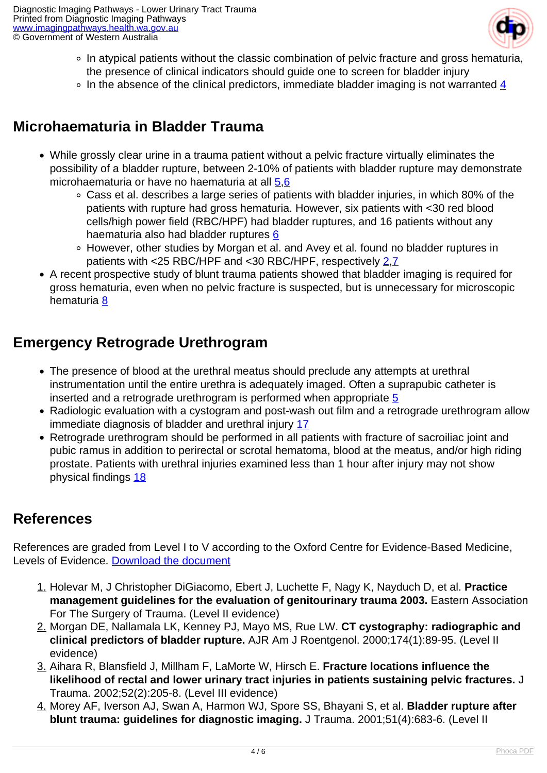

- In atypical patients without the classic combination of pelvic fracture and gross hematuria, the presence of clinical indicators should guide one to screen for bladder injury
- $\circ$  In the absence of the clinical predictors, immediate bladder imaging is not warranted  $\frac{4}{5}$

### **Microhaematuria in Bladder Trauma**

- While grossly clear urine in a trauma patient without a pelvic fracture virtually eliminates the possibility of a bladder rupture, between 2-10% of patients with bladder rupture may demonstrate microhaematuria or have no haematuria at all [5,](index.php?option=com_content&view=article&id=117&tab=references#5)[6](index.php?option=com_content&view=article&id=117&tab=references#6)
	- Cass et al. describes a large series of patients with bladder injuries, in which 80% of the patients with rupture had gross hematuria. However, six patients with <30 red blood cells/high power field (RBC/HPF) had bladder ruptures, and 16 patients without any haematuria also had bladder ruptures [6](index.php?option=com_content&view=article&id=117&tab=references#6)
	- However, other studies by Morgan et al. and Avey et al. found no bladder ruptures in patients with <25 RBC/HPF and <30 RBC/HPF, respectively [2,](index.php?option=com_content&view=article&id=117&tab=references#2)[7](index.php?option=com_content&view=article&id=117&tab=references#7)
- A recent prospective study of blunt trauma patients showed that bladder imaging is required for gross hematuria, even when no pelvic fracture is suspected, but is unnecessary for microscopic hematuria [8](index.php?option=com_content&view=article&id=117&tab=references#8)

#### **Emergency Retrograde Urethrogram**

- The presence of blood at the urethral meatus should preclude any attempts at urethral instrumentation until the entire urethra is adequately imaged. Often a suprapubic catheter is inserted and a retrograde urethrogram is performed when appropriate [5](index.php?option=com_content&view=article&id=117&tab=references#5)
- Radiologic evaluation with a cystogram and post-wash out film and a retrograde urethrogram allow immediate diagnosis of bladder and urethral injury [17](index.php?option=com_content&view=article&id=117&tab=references#17)
- Retrograde urethrogram should be performed in all patients with fracture of sacroiliac joint and pubic ramus in addition to perirectal or scrotal hematoma, blood at the meatus, and/or high riding prostate. Patients with urethral injuries examined less than 1 hour after injury may not show physical findings [18](index.php?option=com_content&view=article&id=117&tab=references#18)

#### **References**

References are graded from Level I to V according to the Oxford Centre for Evidence-Based Medicine, Levels of Evidence. [Download the document](http://www.cebm.net/wp-content/uploads/2014/06/CEBM-Levels-of-Evidence-2.1.pdf)

- 1. Holevar M, J Christopher DiGiacomo, Ebert J, Luchette F, Nagy K, Nayduch D, et al. **Practice management guidelines for the evaluation of genitourinary trauma 2003.** Eastern Association For The Surgery of Trauma. (Level II evidence)
- 2. Morgan DE, Nallamala LK, Kenney PJ, Mayo MS, Rue LW. **CT cystography: radiographic and clinical predictors of bladder rupture.** AJR Am J Roentgenol. 2000;174(1):89-95. (Level II evidence)
- 3. Aihara R, Blansfield J, Millham F, LaMorte W, Hirsch E. **Fracture locations influence the likelihood of rectal and lower urinary tract injuries in patients sustaining pelvic fractures.** J Trauma. 2002;52(2):205-8. (Level III evidence)
- 4. Morey AF, Iverson AJ, Swan A, Harmon WJ, Spore SS, Bhayani S, et al. **Bladder rupture after blunt trauma: guidelines for diagnostic imaging.** J Trauma. 2001;51(4):683-6. (Level II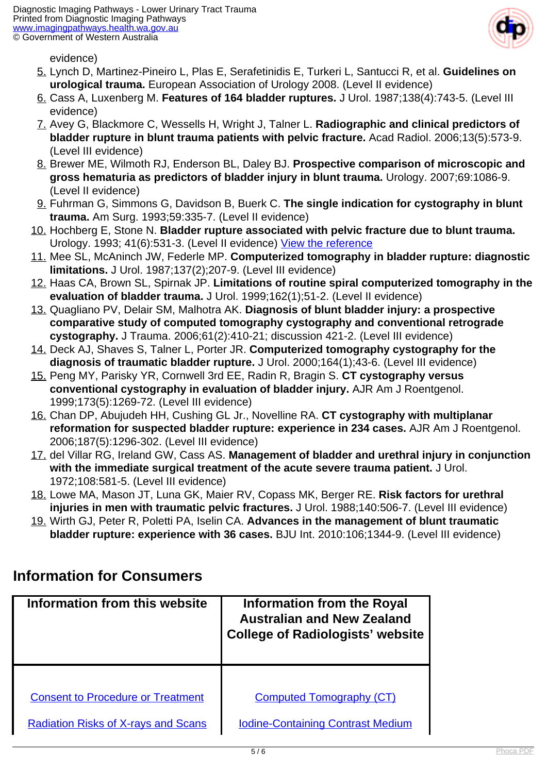

evidence)

- 5. Lynch D, Martinez-Pineiro L, Plas E, Serafetinidis E, Turkeri L, Santucci R, et al. **Guidelines on urological trauma.** European Association of Urology 2008. (Level II evidence)
- 6. Cass A, Luxenberg M. **Features of 164 bladder ruptures.** J Urol. 1987;138(4):743-5. (Level III evidence)
- 7. Avey G, Blackmore C, Wessells H, Wright J, Talner L. **Radiographic and clinical predictors of bladder rupture in blunt trauma patients with pelvic fracture.** Acad Radiol. 2006;13(5):573-9. (Level III evidence)
- 8. Brewer ME, Wilmoth RJ, Enderson BL, Daley BJ. **Prospective comparison of microscopic and gross hematuria as predictors of bladder injury in blunt trauma.** Urology. 2007;69:1086-9. (Level II evidence)
- 9. Fuhrman G, Simmons G, Davidson B, Buerk C. **The single indication for cystography in blunt trauma.** Am Surg. 1993;59:335-7. (Level II evidence)
- 10. Hochberg E, Stone N. **Bladder rupture associated with pelvic fracture due to blunt trauma.** Urology. 1993; 41(6):531-3. (Level II evidence) [View the reference](http://www.ncbi.nlm.nih.gov/pubmed/8516988)
- 11. Mee SL, McAninch JW, Federle MP. **Computerized tomography in bladder rupture: diagnostic limitations.** J Urol. 1987;137(2);207-9. (Level III evidence)
- 12. Haas CA, Brown SL, Spirnak JP. **Limitations of routine spiral computerized tomography in the evaluation of bladder trauma.** J Urol. 1999;162(1);51-2. (Level II evidence)
- 13. Quagliano PV, Delair SM, Malhotra AK. **Diagnosis of blunt bladder injury: a prospective comparative study of computed tomography cystography and conventional retrograde cystography.** J Trauma. 2006;61(2):410-21; discussion 421-2. (Level III evidence)
- 14. Deck AJ, Shaves S, Talner L, Porter JR. **Computerized tomography cystography for the diagnosis of traumatic bladder rupture.** J Urol. 2000;164(1);43-6. (Level III evidence)
- 15. Peng MY, Parisky YR, Cornwell 3rd EE, Radin R, Bragin S. **CT cystography versus conventional cystography in evaluation of bladder injury.** AJR Am J Roentgenol. 1999;173(5):1269-72. (Level III evidence)
- 16. Chan DP, Abujudeh HH, Cushing GL Jr., Novelline RA. **CT cystography with multiplanar reformation for suspected bladder rupture: experience in 234 cases.** AJR Am J Roentgenol. 2006;187(5):1296-302. (Level III evidence)
- 17. del Villar RG, Ireland GW, Cass AS. **Management of bladder and urethral injury in conjunction with the immediate surgical treatment of the acute severe trauma patient.** J Urol. 1972;108:581-5. (Level III evidence)
- 18. Lowe MA, Mason JT, Luna GK, Maier RV, Copass MK, Berger RE. **Risk factors for urethral injuries in men with traumatic pelvic fractures.** J Urol. 1988;140:506-7. (Level III evidence)
- 19. Wirth GJ, Peter R, Poletti PA, Iselin CA. **Advances in the management of blunt traumatic bladder rupture: experience with 36 cases.** BJU Int. 2010:106;1344-9. (Level III evidence)

#### **Information for Consumers**

| Information from this website              | <b>Information from the Royal</b><br><b>Australian and New Zealand</b><br><b>College of Radiologists' website</b> |
|--------------------------------------------|-------------------------------------------------------------------------------------------------------------------|
|                                            |                                                                                                                   |
| <b>Consent to Procedure or Treatment</b>   | <b>Computed Tomography (CT)</b>                                                                                   |
| <b>Radiation Risks of X-rays and Scans</b> | <b>Iodine-Containing Contrast Medium</b>                                                                          |